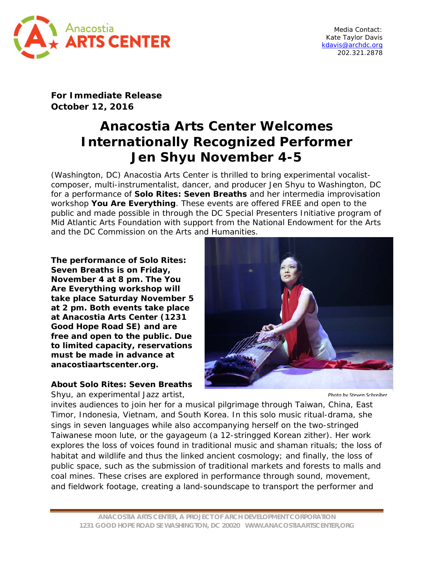

Media Contact: Kate Taylor Davis [kdavis@archdc.org](mailto:kdavis@archdc.org) 202.321.2878

**For Immediate Release October 12, 2016**

## **Anacostia Arts Center Welcomes Internationally Recognized Performer Jen Shyu November 4-5**

(Washington, DC) Anacostia Arts Center is thrilled to bring experimental vocalistcomposer, multi-instrumentalist, dancer, and producer Jen Shyu to Washington, DC for a performance of *Solo Rites: Seven Breaths* and her intermedia improvisation workshop *You Are Everything*. These events are offered FREE and open to the public and made possible in through the DC Special Presenters Initiative program of Mid Atlantic Arts Foundation with support from the National Endowment for the Arts and the DC Commission on the Arts and Humanities.

**The performance of** *Solo Rites: Seven Breaths* **is on Friday, November 4 at 8 pm. The Y***ou Are Everything* **workshop will take place Saturday November 5 at 2 pm. Both events take place at Anacostia Arts Center (1231 Good Hope Road SE) and are free and open to the public. Due to limited capacity, reservations must be made in advance at anacostiaartscenter.org.** 

**About** *Solo Rites: Seven Breaths*

Shyu, an experimental Jazz artist,



*Photo by Steven Schreiber*

invites audiences to join her for a musical pilgrimage through Taiwan, China, East Timor, Indonesia, Vietnam, and South Korea. In this solo music ritual-drama, she sings in seven languages while also accompanying herself on the two-stringed Taiwanese moon lute, or the gayageum (a 12-stringged Korean zither). Her work explores the loss of voices found in traditional music and shaman rituals; the loss of habitat and wildlife and thus the linked ancient cosmology; and finally, the loss of public space, such as the submission of traditional markets and forests to malls and coal mines. These crises are explored in performance through sound, movement, and fieldwork footage, creating a land-soundscape to transport the performer and